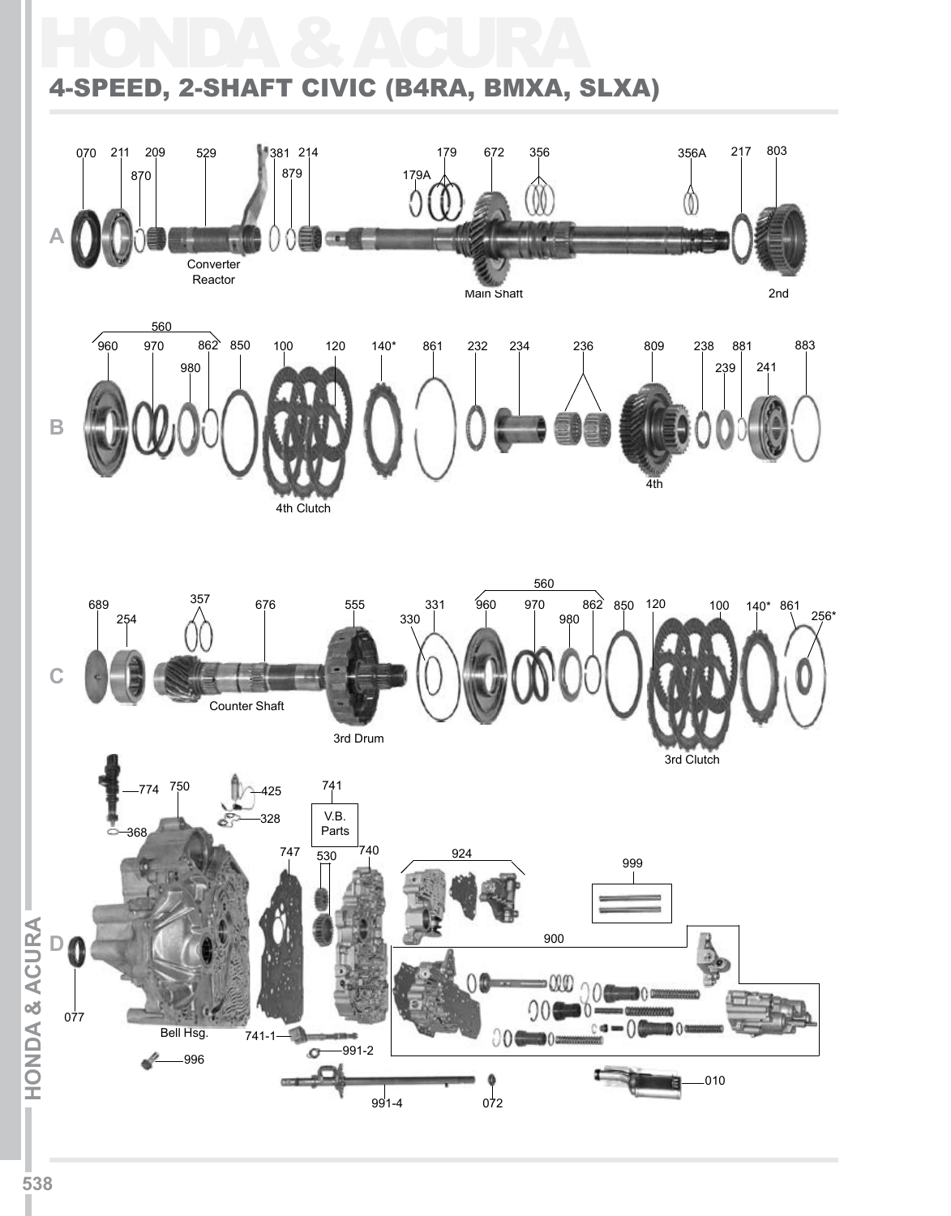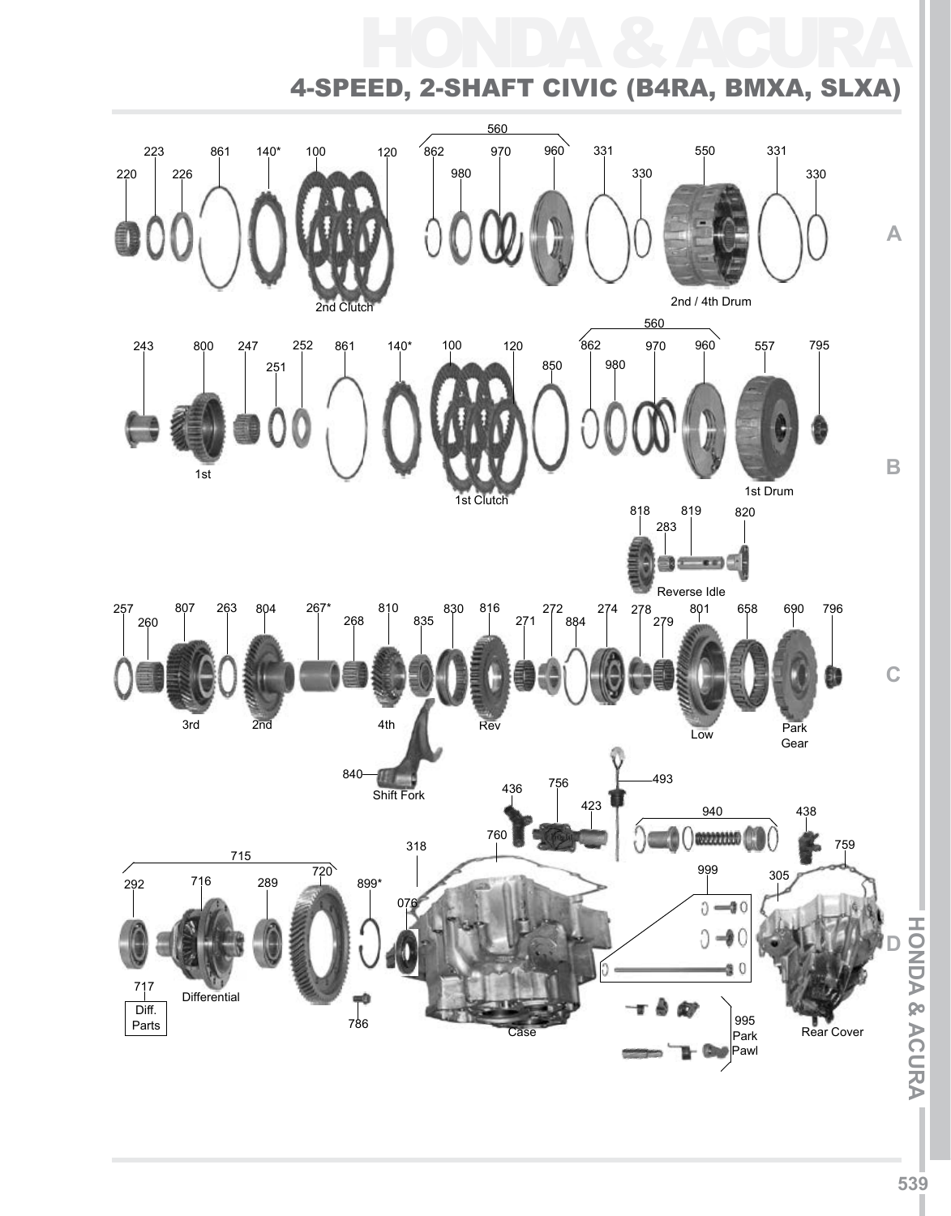#### 330 140\* 100 120 550 220 226 223 861 560 140\* 100 120 862 980 970 960 557 1st Drum 850 243 795 1st Clutch 2nd Clutch 2nd / 4th Drum  $\frac{1}{862}$ 560 980 970 960 331 330 331 1st 800 247 251 252 861 818 283 819 820 Reverse Idle 807 263 804 267\* 810 830 816 272 274 278 801 658 690 796 257 807 263<br>| 260 | 260 | | | | | 268 | 835 816 271 272 884 274 278 279 801 804 830 658 690 267\* 268 810 **C B A** HONDA & ACURA 4-Speed, 2-Shaft Civic (B4RA, BMXA, SLXA)



**ACURAI**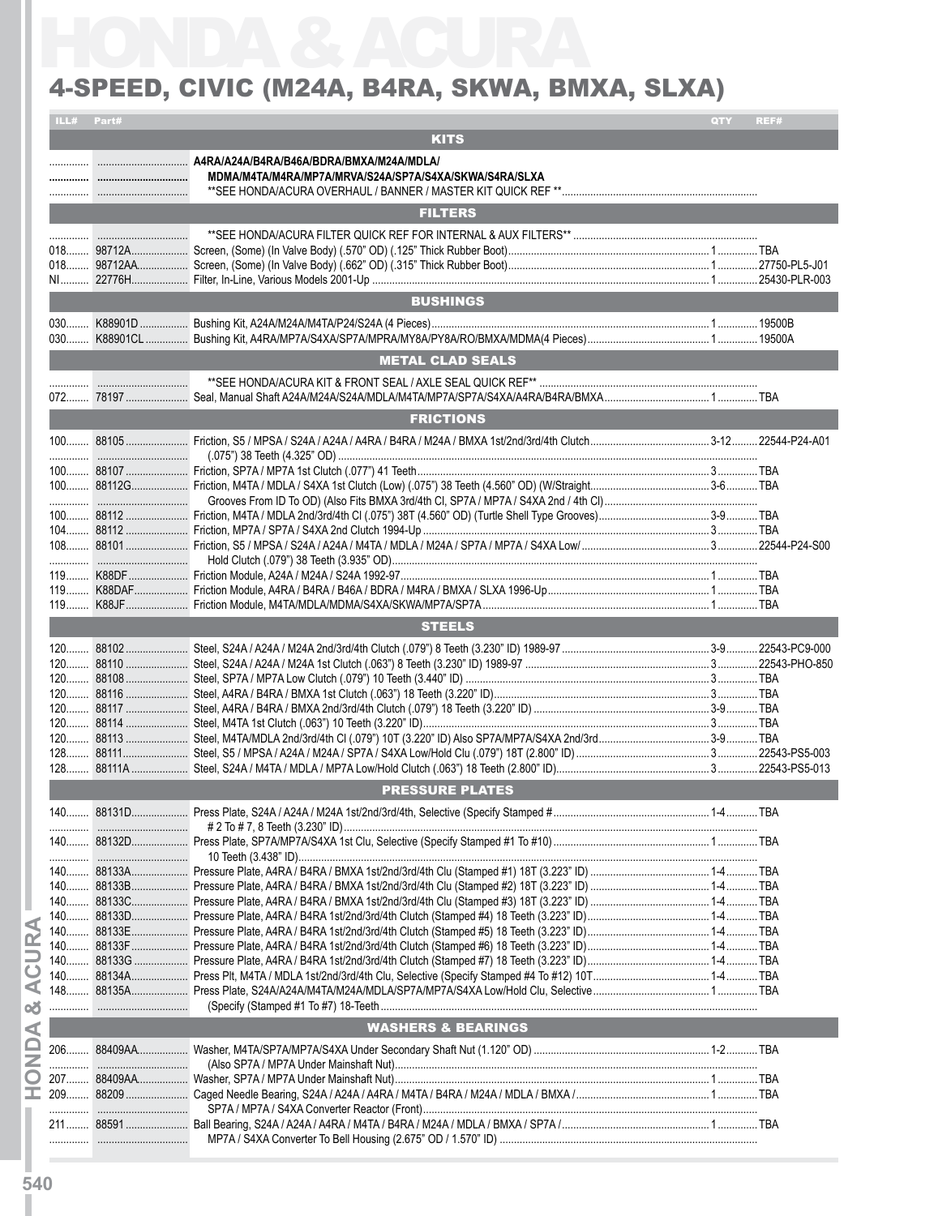#### 4-SPEED, CIVIC (M24A, B4RA, SKWA, BMXA, SLXA)

|     | ILL# Part#  |                                                        | QTY | REF#  |
|-----|-------------|--------------------------------------------------------|-----|-------|
|     |             | <b>KITS</b>                                            |     |       |
|     |             | MDMA/M4TA/M4RA/MP7A/MRVA/S24A/SP7A/S4XA/SKWA/S4RA/SLXA |     |       |
|     |             | <b>FILTERS</b>                                         |     |       |
|     |             |                                                        |     |       |
|     |             | <b>BUSHINGS</b>                                        |     |       |
|     |             |                                                        |     |       |
|     |             | <b>METAL CLAD SEALS</b>                                |     |       |
|     |             |                                                        |     |       |
|     |             | <b>FRICTIONS</b>                                       |     |       |
|     |             |                                                        |     |       |
|     |             |                                                        |     |       |
|     |             |                                                        |     |       |
|     |             |                                                        |     |       |
|     |             |                                                        |     |       |
|     |             |                                                        |     |       |
|     |             | <b>STEELS</b>                                          |     |       |
| 120 | 88117.<br>. |                                                        |     | . TBA |
|     |             |                                                        |     |       |
|     |             | <b>PRESSURE PLATES</b>                                 |     |       |
|     |             |                                                        |     |       |
|     |             |                                                        |     |       |
|     |             |                                                        |     |       |
|     |             |                                                        |     |       |
|     |             |                                                        |     |       |
|     |             |                                                        |     |       |
|     |             | <b>WASHERS &amp; BEARINGS</b>                          |     |       |
|     |             |                                                        |     |       |
|     |             |                                                        |     |       |
|     |             |                                                        |     |       |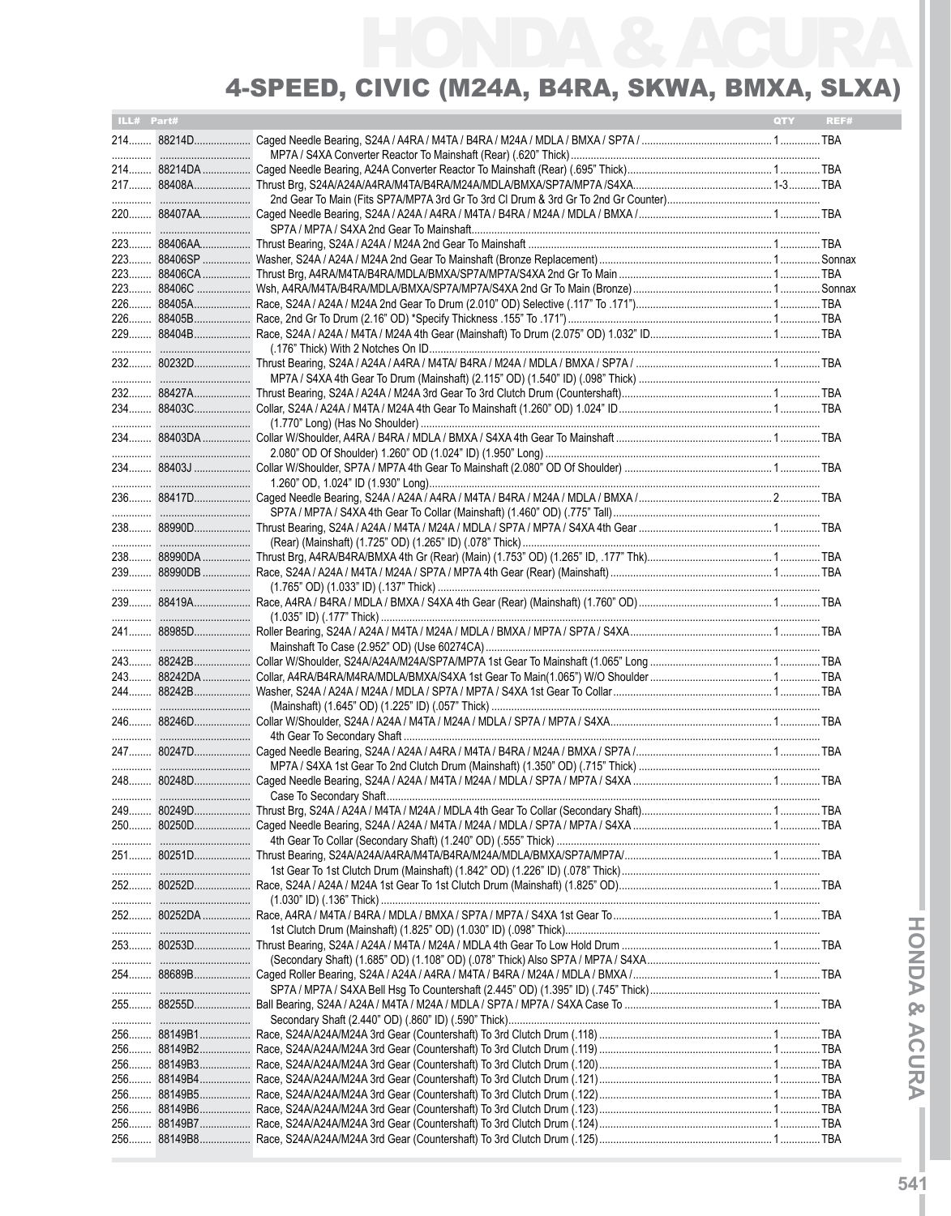| ILL# Part# |             | <b>QTY</b> | REF# |
|------------|-------------|------------|------|
|            | 214 88214D  |            |      |
|            |             |            |      |
|            | 214 88214DA |            |      |
|            | 217 88408A  |            |      |
|            |             |            |      |
|            |             |            |      |
|            |             |            |      |
|            |             |            |      |
|            |             |            |      |
|            |             |            |      |
|            |             |            |      |
|            |             |            |      |
|            |             |            |      |
|            |             |            |      |
|            |             |            |      |
|            |             |            |      |
|            |             |            |      |
|            |             |            |      |
|            |             |            |      |
|            |             |            |      |
|            |             |            |      |
|            |             |            |      |
|            |             |            |      |
|            |             |            |      |
|            |             |            |      |
|            |             |            |      |
|            |             |            |      |
|            |             |            |      |
|            |             |            |      |
|            |             |            |      |
|            |             |            |      |
|            |             |            |      |
|            |             |            |      |
|            |             |            |      |
|            |             |            |      |
|            | 243 88242DA |            |      |
|            |             |            |      |
|            |             |            |      |
|            |             |            |      |
|            |             |            |      |
|            |             |            |      |
|            |             |            |      |
|            |             |            |      |
|            | 249 80249D  |            |      |
|            |             |            |      |
|            |             |            |      |
|            |             |            |      |
|            |             |            |      |
|            |             |            |      |
|            |             |            |      |
|            |             |            |      |
|            |             |            |      |
|            |             |            |      |
|            |             |            |      |
|            |             |            |      |
|            |             |            |      |
|            |             |            |      |
|            |             |            |      |
|            |             |            |      |
|            |             |            |      |
| 256        |             |            |      |
| 256        |             |            |      |
| 256        |             |            |      |
| 256        |             |            |      |
|            |             |            |      |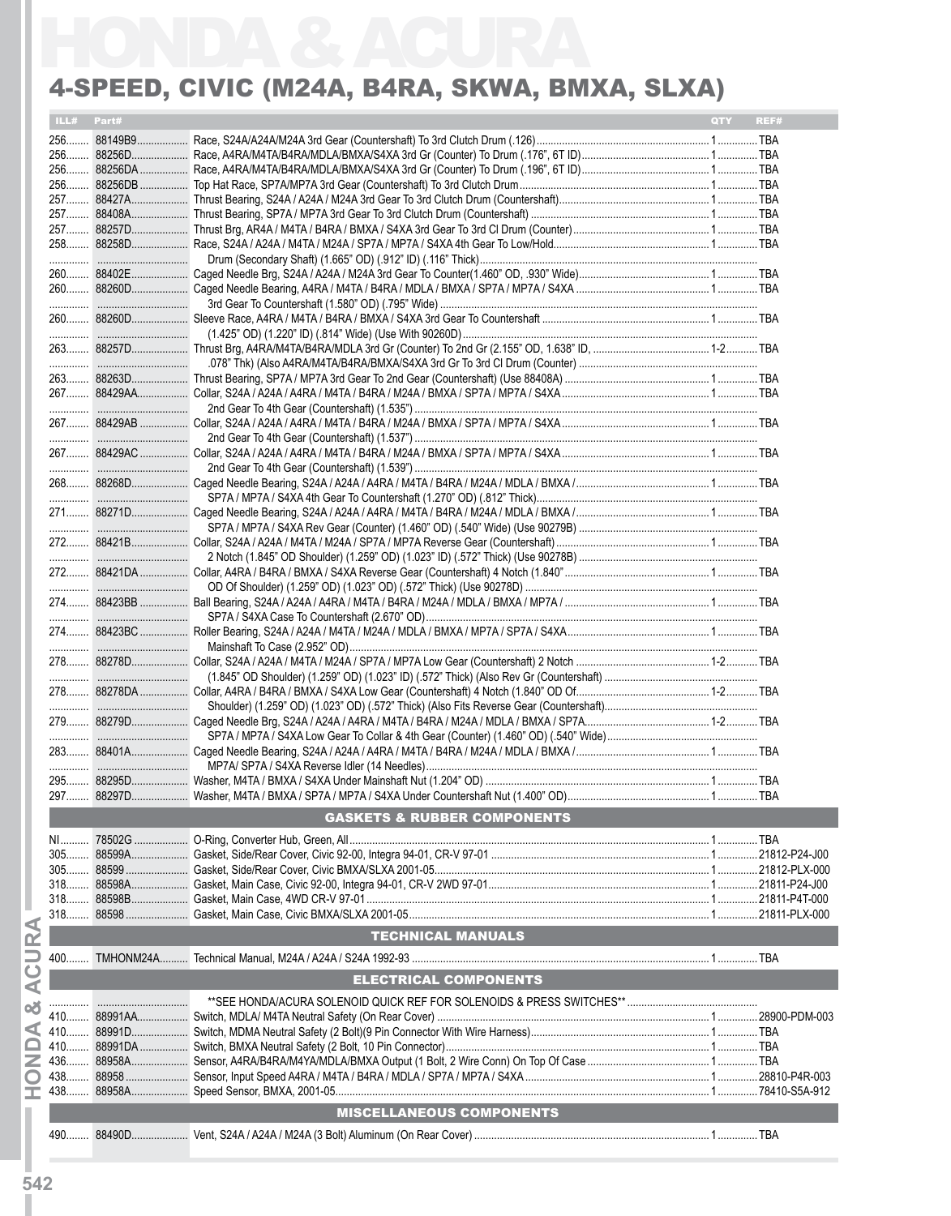### 4-Speed, Civic (M24A, B4RA, SKWA, BMXA, SLXA)

| ILL# Part#<br>REF#<br><b>OTY</b><br>256 88256DB<br>272 88421B<br><b>GASKETS &amp; RUBBER COMPONENTS</b><br><b>TECHNICAL MANUALS</b><br><b>ELECTRICAL COMPONENTS</b><br><b>MISCELLANEOUS COMPONENTS</b> |  | 4-SPEED, CIVIC (M24A, B4RA, SKWA, BMXA, SLXA) |  |
|--------------------------------------------------------------------------------------------------------------------------------------------------------------------------------------------------------|--|-----------------------------------------------|--|
|                                                                                                                                                                                                        |  |                                               |  |
|                                                                                                                                                                                                        |  |                                               |  |
|                                                                                                                                                                                                        |  |                                               |  |
|                                                                                                                                                                                                        |  |                                               |  |
|                                                                                                                                                                                                        |  |                                               |  |
|                                                                                                                                                                                                        |  |                                               |  |
|                                                                                                                                                                                                        |  |                                               |  |
|                                                                                                                                                                                                        |  |                                               |  |
|                                                                                                                                                                                                        |  |                                               |  |
|                                                                                                                                                                                                        |  |                                               |  |
|                                                                                                                                                                                                        |  |                                               |  |
|                                                                                                                                                                                                        |  |                                               |  |
|                                                                                                                                                                                                        |  |                                               |  |
|                                                                                                                                                                                                        |  |                                               |  |
|                                                                                                                                                                                                        |  |                                               |  |
|                                                                                                                                                                                                        |  |                                               |  |
|                                                                                                                                                                                                        |  |                                               |  |
|                                                                                                                                                                                                        |  |                                               |  |
|                                                                                                                                                                                                        |  |                                               |  |
|                                                                                                                                                                                                        |  |                                               |  |
|                                                                                                                                                                                                        |  |                                               |  |
|                                                                                                                                                                                                        |  |                                               |  |
|                                                                                                                                                                                                        |  |                                               |  |
|                                                                                                                                                                                                        |  |                                               |  |
|                                                                                                                                                                                                        |  |                                               |  |
|                                                                                                                                                                                                        |  |                                               |  |
|                                                                                                                                                                                                        |  |                                               |  |
|                                                                                                                                                                                                        |  |                                               |  |
|                                                                                                                                                                                                        |  |                                               |  |
|                                                                                                                                                                                                        |  |                                               |  |
|                                                                                                                                                                                                        |  |                                               |  |
|                                                                                                                                                                                                        |  |                                               |  |
|                                                                                                                                                                                                        |  |                                               |  |
|                                                                                                                                                                                                        |  |                                               |  |
|                                                                                                                                                                                                        |  |                                               |  |
|                                                                                                                                                                                                        |  |                                               |  |
|                                                                                                                                                                                                        |  |                                               |  |
|                                                                                                                                                                                                        |  |                                               |  |
|                                                                                                                                                                                                        |  |                                               |  |
|                                                                                                                                                                                                        |  |                                               |  |
|                                                                                                                                                                                                        |  |                                               |  |
|                                                                                                                                                                                                        |  |                                               |  |
|                                                                                                                                                                                                        |  |                                               |  |
|                                                                                                                                                                                                        |  |                                               |  |
|                                                                                                                                                                                                        |  |                                               |  |
|                                                                                                                                                                                                        |  |                                               |  |
|                                                                                                                                                                                                        |  |                                               |  |
|                                                                                                                                                                                                        |  |                                               |  |
|                                                                                                                                                                                                        |  |                                               |  |
|                                                                                                                                                                                                        |  |                                               |  |
|                                                                                                                                                                                                        |  |                                               |  |
|                                                                                                                                                                                                        |  |                                               |  |
|                                                                                                                                                                                                        |  |                                               |  |
|                                                                                                                                                                                                        |  |                                               |  |
|                                                                                                                                                                                                        |  |                                               |  |
|                                                                                                                                                                                                        |  |                                               |  |
|                                                                                                                                                                                                        |  |                                               |  |
|                                                                                                                                                                                                        |  |                                               |  |
|                                                                                                                                                                                                        |  |                                               |  |
|                                                                                                                                                                                                        |  |                                               |  |
|                                                                                                                                                                                                        |  |                                               |  |
|                                                                                                                                                                                                        |  |                                               |  |
|                                                                                                                                                                                                        |  |                                               |  |
|                                                                                                                                                                                                        |  |                                               |  |
|                                                                                                                                                                                                        |  |                                               |  |
|                                                                                                                                                                                                        |  |                                               |  |
|                                                                                                                                                                                                        |  |                                               |  |
|                                                                                                                                                                                                        |  |                                               |  |
|                                                                                                                                                                                                        |  |                                               |  |
|                                                                                                                                                                                                        |  |                                               |  |
|                                                                                                                                                                                                        |  |                                               |  |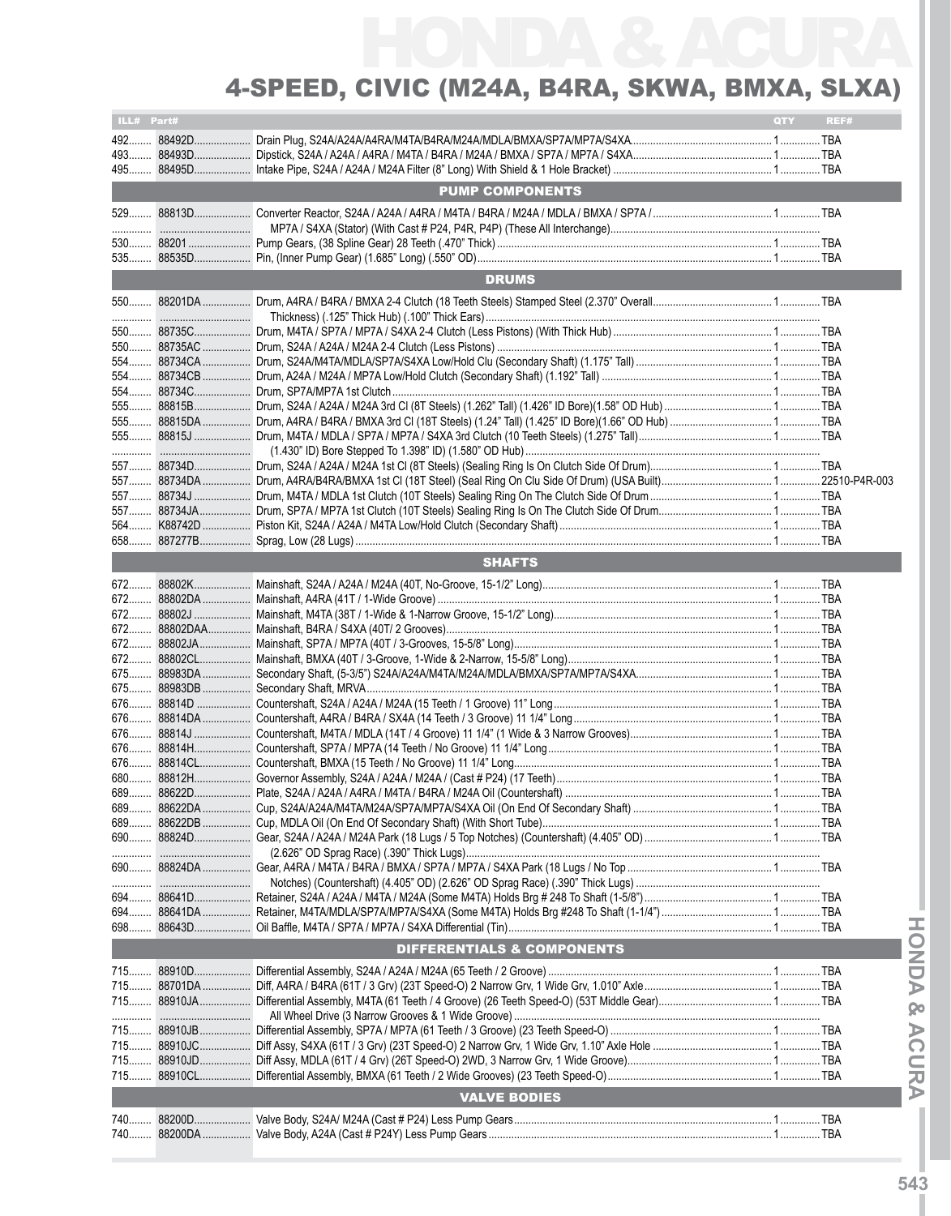| ILL# Part# |                                                                                                      | QTY | REF# |
|------------|------------------------------------------------------------------------------------------------------|-----|------|
|            |                                                                                                      |     |      |
|            |                                                                                                      |     |      |
| 495        |                                                                                                      |     |      |
|            | <b>PUMP COMPONENTS</b>                                                                               |     |      |
|            |                                                                                                      |     |      |
|            |                                                                                                      |     |      |
|            |                                                                                                      |     |      |
|            |                                                                                                      |     |      |
|            |                                                                                                      |     |      |
|            | <b>DRUMS</b>                                                                                         |     |      |
|            |                                                                                                      |     |      |
|            |                                                                                                      |     |      |
|            |                                                                                                      |     |      |
|            |                                                                                                      |     |      |
|            |                                                                                                      |     |      |
|            |                                                                                                      |     |      |
|            |                                                                                                      |     |      |
|            |                                                                                                      |     |      |
|            |                                                                                                      |     |      |
|            |                                                                                                      |     |      |
|            |                                                                                                      |     |      |
|            | ……………………………………(1.430" ID) Bore Stepped To 1.398" ID) (1.580" OD Hub) ………………………………………………………………………………… |     |      |
|            |                                                                                                      |     |      |
|            |                                                                                                      |     |      |
|            |                                                                                                      |     |      |
|            |                                                                                                      |     |      |
|            |                                                                                                      |     |      |
|            |                                                                                                      |     |      |
|            | <b>SHAFTS</b>                                                                                        |     |      |
|            |                                                                                                      |     |      |
|            |                                                                                                      |     |      |
|            |                                                                                                      |     |      |
|            |                                                                                                      |     |      |
| 672        |                                                                                                      |     |      |
|            |                                                                                                      |     |      |
| $672$      |                                                                                                      |     |      |
|            |                                                                                                      |     |      |
|            |                                                                                                      |     |      |
|            |                                                                                                      |     |      |
|            |                                                                                                      |     |      |
|            |                                                                                                      |     |      |
|            |                                                                                                      |     |      |
|            |                                                                                                      |     |      |
|            |                                                                                                      |     |      |
|            |                                                                                                      |     |      |
|            |                                                                                                      |     |      |
|            |                                                                                                      |     |      |
|            |                                                                                                      |     |      |
|            |                                                                                                      |     |      |
|            |                                                                                                      |     |      |
|            |                                                                                                      |     |      |
|            |                                                                                                      |     |      |
|            |                                                                                                      |     |      |
|            |                                                                                                      |     |      |
|            | <b>DIFFERENTIALS &amp; COMPONENTS</b>                                                                |     |      |
|            |                                                                                                      |     |      |
|            |                                                                                                      |     |      |
|            |                                                                                                      |     |      |
|            |                                                                                                      |     |      |
|            |                                                                                                      |     |      |
|            |                                                                                                      |     |      |
|            |                                                                                                      |     |      |
|            |                                                                                                      |     |      |
|            |                                                                                                      |     |      |
|            | <b>VALVE BODIES</b>                                                                                  |     |      |
|            |                                                                                                      |     |      |
|            |                                                                                                      |     |      |
|            |                                                                                                      |     |      |

**IHON**

**D A &**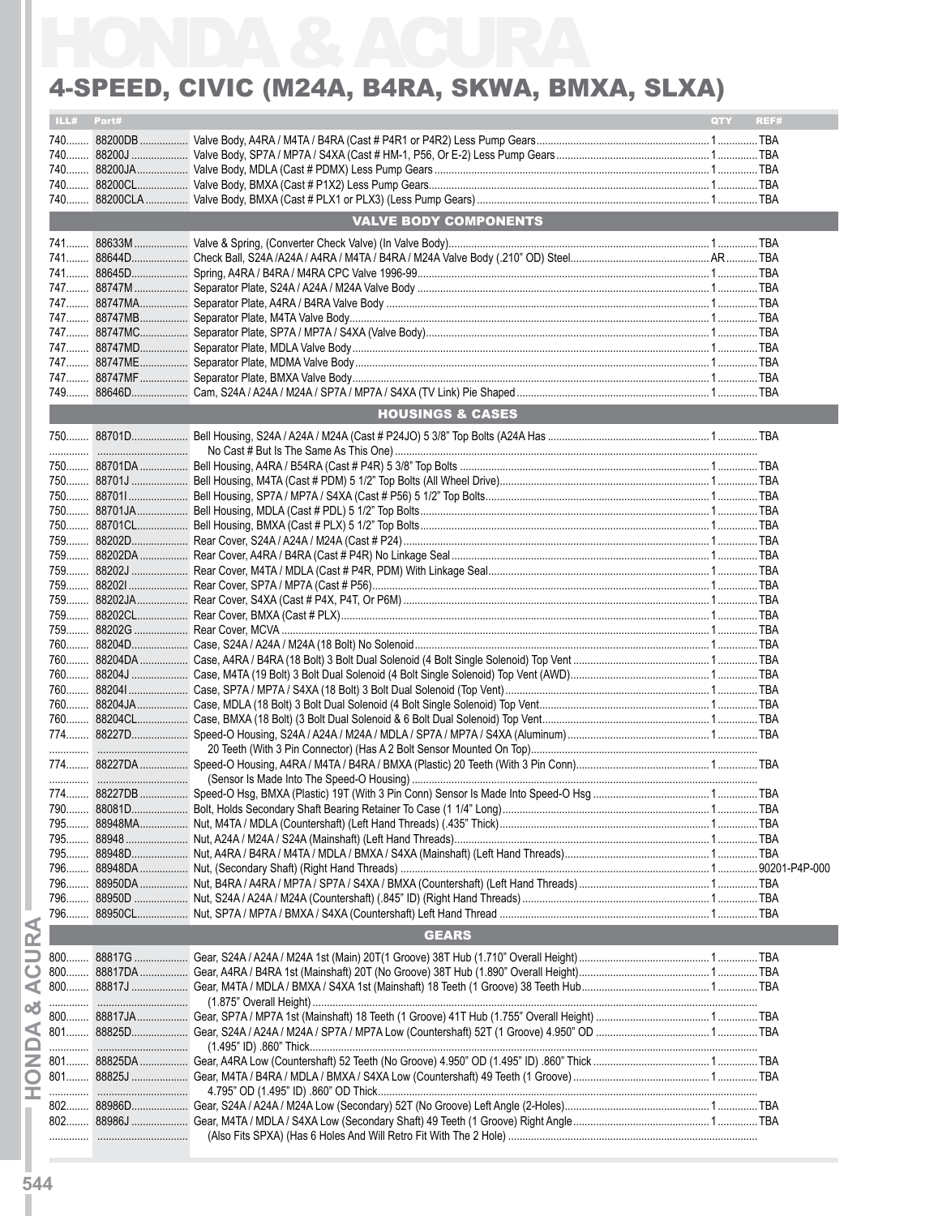#### 4-SPEED, CIVIC (M24A, B4RA, SKWA, BMXA, SLXA)

| ILL#  | Part# |                              | QTY | REF# |  |
|-------|-------|------------------------------|-----|------|--|
|       |       |                              |     |      |  |
| $740$ |       |                              |     |      |  |
|       |       |                              |     |      |  |
|       |       |                              |     |      |  |
|       |       |                              |     |      |  |
|       |       |                              |     |      |  |
|       |       | <b>VALVE BODY COMPONENTS</b> |     |      |  |
|       |       |                              |     |      |  |
|       |       |                              |     |      |  |
|       |       |                              |     |      |  |
|       |       |                              |     |      |  |
|       |       |                              |     |      |  |
|       |       |                              |     |      |  |
|       |       |                              |     |      |  |
|       |       |                              |     |      |  |
|       |       |                              |     |      |  |
|       |       |                              |     |      |  |
|       |       |                              |     |      |  |
|       |       |                              |     |      |  |
|       |       |                              |     |      |  |
|       |       | <b>HOUSINGS &amp; CASES</b>  |     |      |  |
|       |       |                              |     |      |  |
|       |       |                              |     |      |  |
|       |       |                              |     |      |  |
|       |       |                              |     |      |  |
|       |       |                              |     |      |  |
|       |       |                              |     |      |  |
|       |       |                              |     |      |  |
|       |       |                              |     |      |  |
|       |       |                              |     |      |  |
|       |       |                              |     |      |  |
|       |       |                              |     |      |  |
|       |       |                              |     |      |  |
|       |       |                              |     |      |  |
|       |       |                              |     |      |  |
|       |       |                              |     |      |  |
|       |       |                              |     |      |  |
|       |       |                              |     |      |  |
|       |       |                              |     |      |  |
|       |       |                              |     |      |  |
|       |       |                              |     |      |  |
|       |       |                              |     |      |  |
|       |       |                              |     |      |  |
|       |       |                              |     |      |  |
|       |       |                              |     |      |  |
|       |       |                              |     |      |  |
|       |       |                              |     |      |  |
|       |       |                              |     |      |  |
|       |       |                              |     |      |  |
| 795   |       |                              |     |      |  |
| 795   |       |                              |     |      |  |
| 795   |       |                              |     |      |  |
| 796   |       |                              |     |      |  |
| 796   |       |                              |     |      |  |
|       |       |                              |     |      |  |
|       |       |                              |     |      |  |
|       |       | <b>GEARS</b>                 |     |      |  |
|       |       |                              |     |      |  |
|       |       |                              |     |      |  |
|       |       |                              |     |      |  |
|       |       |                              |     |      |  |
|       |       |                              |     |      |  |
|       |       |                              |     |      |  |
|       |       |                              |     |      |  |
|       |       |                              |     |      |  |
|       |       |                              |     |      |  |
|       |       |                              |     |      |  |
|       |       |                              |     |      |  |
|       |       |                              |     |      |  |
|       |       |                              |     |      |  |
|       |       |                              |     |      |  |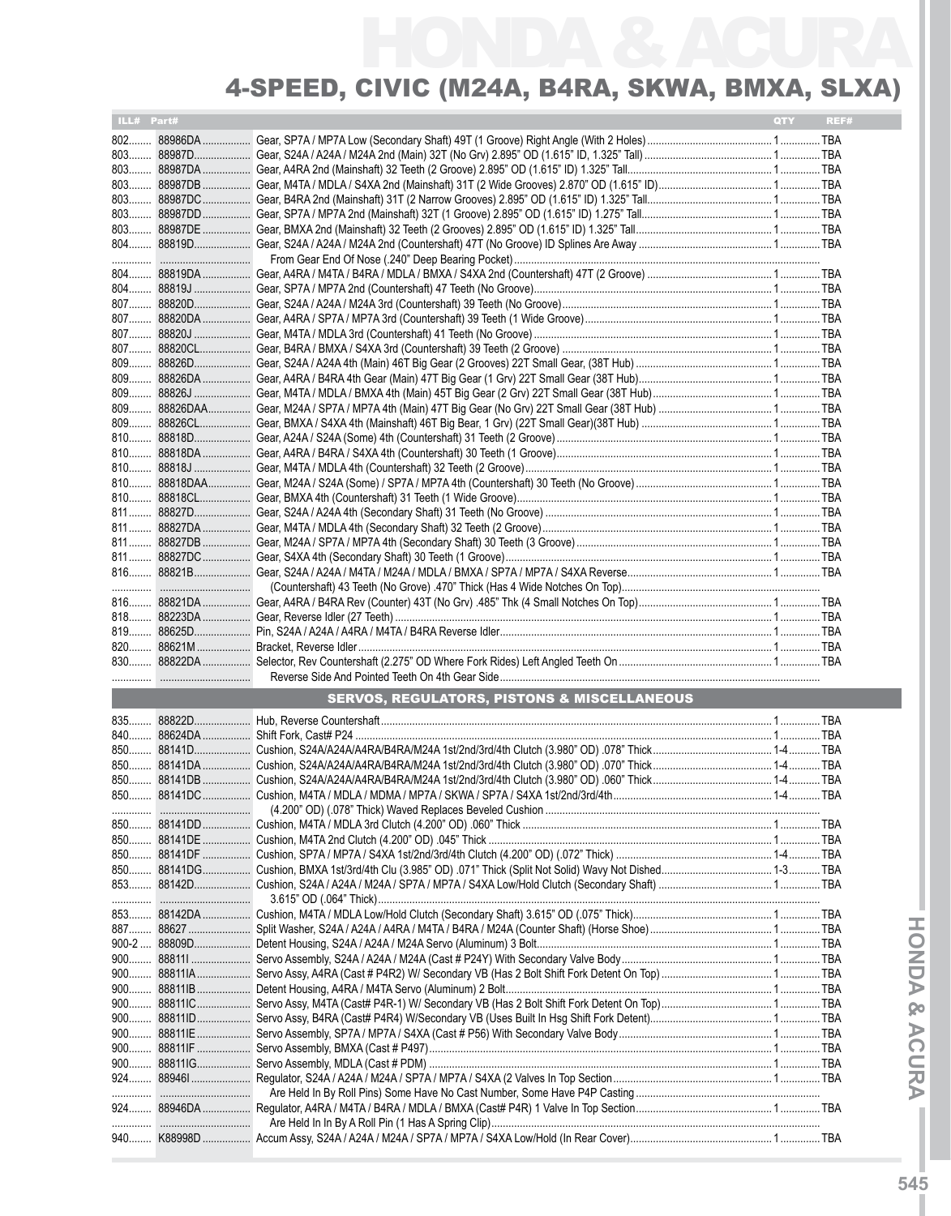| ILL# Part# |             |                                                        | QTY | REF# |
|------------|-------------|--------------------------------------------------------|-----|------|
|            | 802 88986DA |                                                        |     |      |
|            |             |                                                        |     |      |
|            |             |                                                        |     |      |
|            |             |                                                        |     |      |
|            |             |                                                        |     |      |
|            |             |                                                        |     |      |
|            |             |                                                        |     |      |
|            |             |                                                        |     |      |
|            |             |                                                        |     |      |
|            |             |                                                        |     |      |
|            |             |                                                        |     |      |
|            |             |                                                        |     |      |
|            |             |                                                        |     |      |
|            |             |                                                        |     |      |
|            |             |                                                        |     |      |
|            |             |                                                        |     |      |
|            |             |                                                        |     |      |
|            |             |                                                        |     |      |
|            |             |                                                        |     |      |
|            |             |                                                        |     |      |
|            |             |                                                        |     |      |
|            |             |                                                        |     |      |
|            |             |                                                        |     |      |
|            |             |                                                        |     |      |
|            |             |                                                        |     |      |
|            |             |                                                        |     |      |
|            |             |                                                        |     |      |
|            |             |                                                        |     |      |
|            |             |                                                        |     |      |
|            |             |                                                        |     |      |
|            |             |                                                        |     |      |
|            |             |                                                        |     |      |
|            |             |                                                        |     |      |
|            |             |                                                        |     |      |
|            |             |                                                        |     |      |
|            |             |                                                        |     |      |
|            |             | <b>SERVOS, REGULATORS, PISTONS &amp; MISCELLANEOUS</b> |     |      |
|            |             |                                                        |     |      |
|            |             |                                                        |     |      |
|            |             |                                                        |     |      |
|            |             |                                                        |     |      |
|            |             |                                                        |     |      |
|            |             |                                                        |     |      |
|            |             |                                                        |     |      |
|            |             |                                                        |     |      |
|            |             |                                                        |     |      |
|            |             |                                                        |     |      |
|            |             |                                                        |     |      |
|            |             |                                                        |     |      |
|            |             |                                                        |     |      |
|            |             |                                                        |     |      |
|            |             |                                                        |     |      |
|            |             |                                                        |     |      |
|            |             |                                                        |     |      |
|            |             |                                                        |     |      |
|            |             |                                                        |     |      |
|            |             |                                                        |     |      |
|            |             |                                                        |     |      |
|            | 900 88811IE |                                                        |     |      |
|            |             |                                                        |     |      |
|            |             |                                                        |     |      |
|            |             |                                                        |     |      |
|            |             |                                                        |     |      |
|            |             |                                                        |     |      |
|            |             |                                                        |     |      |
|            |             |                                                        |     |      |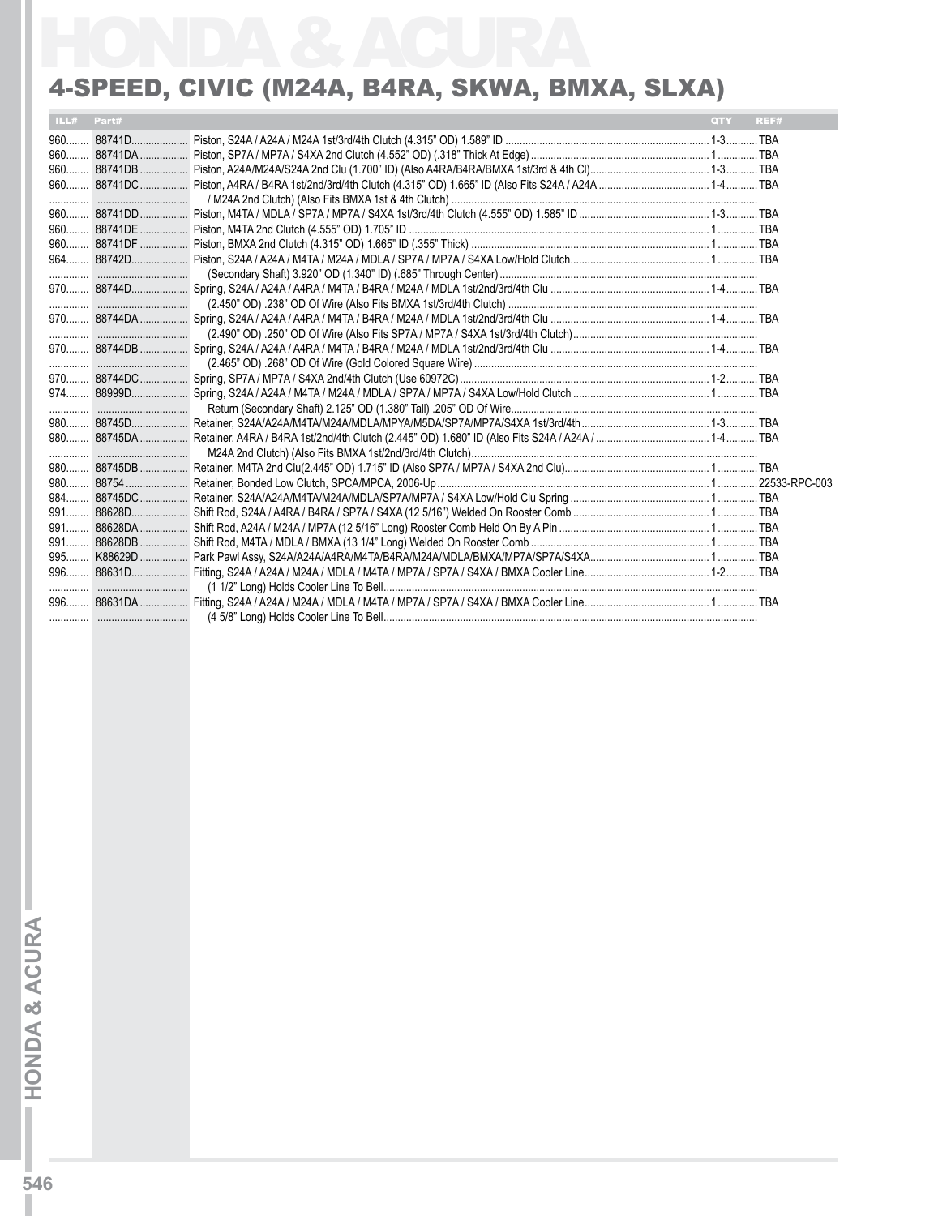#### 4-Speed, Civic (M24A, B4RA, SKWA, BMXA, SLXA)

| ILL# Part# | <b>OTY</b> | REF# |
|------------|------------|------|
|            |            |      |
|            |            |      |
|            |            |      |
|            |            |      |
|            |            |      |
|            |            |      |
|            |            |      |
|            |            |      |
|            |            |      |
|            |            |      |
|            |            |      |
|            |            |      |
|            |            |      |
|            |            |      |
|            |            |      |
|            |            |      |
|            |            |      |
|            |            |      |
|            |            |      |
|            |            |      |
|            |            |      |
|            |            |      |
|            |            |      |
|            |            |      |
|            |            |      |
|            |            |      |
|            |            |      |
|            |            |      |
|            |            |      |
|            |            |      |
|            |            |      |
|            |            |      |
|            |            |      |
|            |            |      |
|            |            |      |